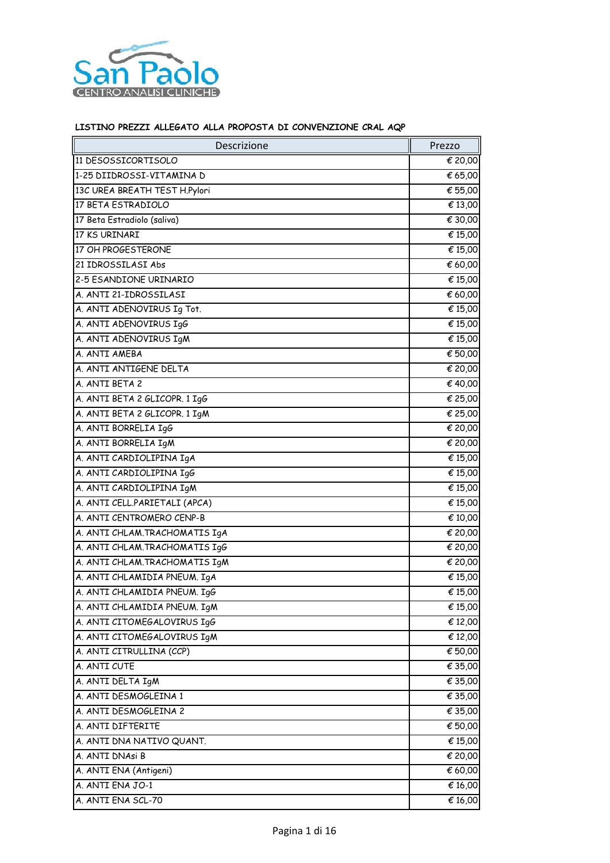

| Descrizione                    | Prezzo  |
|--------------------------------|---------|
| 11 DESOSSICORTISOLO            | € 20,00 |
| 1-25 DIIDROSSI-VITAMINA D      | € 65,00 |
| 13C UREA BREATH TEST H.Pylori  | € 55,00 |
| 17 BETA ESTRADIOLO             | € 13,00 |
| 17 Beta Estradiolo (saliva)    | € 30,00 |
| 17 KS URINARI                  | € 15,00 |
| 17 OH PROGESTERONE             | € 15,00 |
| 21 IDROSSILASI Abs             | € 60,00 |
| 2-5 ESANDIONE URINARIO         | € 15,00 |
| A. ANTI 21-IDROSSILASI         | € 60,00 |
| A. ANTI ADENOVIRUS Ig Tot.     | € 15,00 |
| A. ANTI ADENOVIRUS IgG         | € 15,00 |
| A. ANTI ADENOVIRUS IgM         | € 15,00 |
| A. ANTI AMEBA                  | € 50,00 |
| A. ANTI ANTIGENE DELTA         | € 20,00 |
| A. ANTI BETA 2                 | € 40,00 |
| A. ANTI BETA 2 GLICOPR. 1 IgG  | € 25,00 |
| A. ANTI BETA 2 GLICOPR. 1 IgM  | € 25,00 |
| A. ANTI BORRELIA IgG           | € 20,00 |
| A. ANTI BORRELIA IgM           | € 20,00 |
| A. ANTI CARDIOLIPINA IgA       | € 15,00 |
| A. ANTI CARDIOLIPINA IgG       | € 15,00 |
| A. ANTI CARDIOLIPINA IGM       | € 15,00 |
| A. ANTI CELL.PARIETALI (APCA)  | € 15,00 |
| A. ANTI CENTROMERO CENP-B      | € 10,00 |
| A. ANTI CHLAM. TRACHOMATIS IgA | € 20,00 |
| A. ANTI CHLAM. TRACHOMATIS IgG | € 20,00 |
| A. ANTI CHLAM. TRACHOMATIS IGM | € 20,00 |
| A. ANTI CHLAMIDIA PNEUM. IgA   | € 15,00 |
| A. ANTI CHLAMIDIA PNEUM. IgG   | € 15,00 |
| A. ANTI CHLAMIDIA PNEUM. IgM   | € 15,00 |
| A. ANTI CITOMEGALOVIRUS IgG    | € 12,00 |
| A. ANTI CITOMEGALOVIRUS IgM    | € 12,00 |
| A. ANTI CITRULLINA (CCP)       | € 50,00 |
| A. ANTI CUTE                   | € 35,00 |
| A. ANTI DELTA IgM              | € 35,00 |
| A. ANTI DESMOGLEINA 1          | € 35,00 |
| A. ANTI DESMOGLEINA 2          | € 35,00 |
| A. ANTI DIFTERITE              | € 50,00 |
| A. ANTI DNA NATIVO QUANT.      | € 15,00 |
| A. ANTI DNAsi B                | € 20,00 |
| A. ANTI ENA (Antigeni)         | € 60,00 |
| A. ANTI ENA JO-1               | € 16,00 |
| A. ANTI ENA SCL-70             | € 16,00 |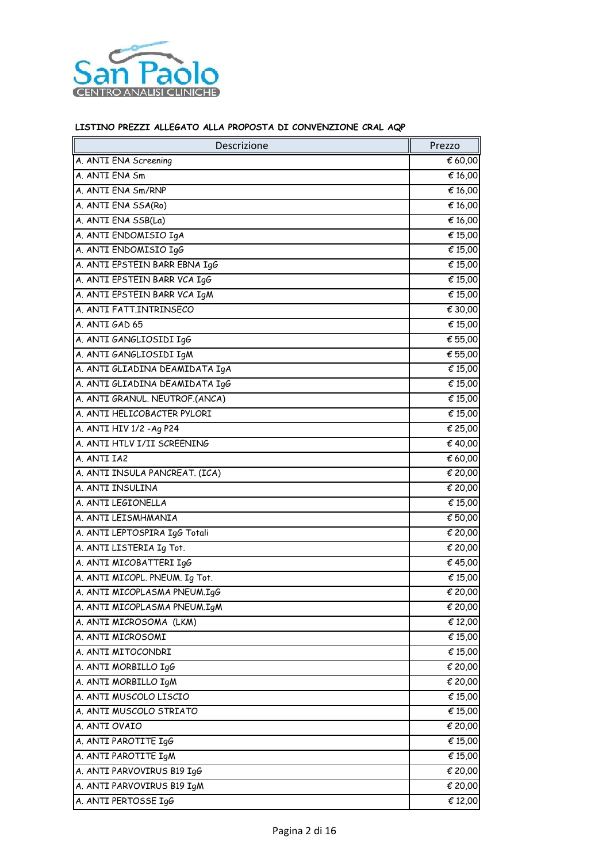

| Descrizione                    | Prezzo                      |
|--------------------------------|-----------------------------|
| A. ANTI ENA Screening          | € 60,00                     |
| A. ANTI ENA Sm                 | € 16,00                     |
| A. ANTI ENA Sm/RNP             | € 16,00                     |
| A. ANTI ENA SSA(Ro)            | € 16,00                     |
| A. ANTI ENA SSB(La)            | € 16,00                     |
| A. ANTI ENDOMISIO IgA          | € 15,00                     |
| A. ANTI ENDOMISIO IgG          | € 15,00                     |
| A. ANTI EPSTEIN BARR EBNA IgG  | € 15,00                     |
| A. ANTI EPSTEIN BARR VCA IgG   | € 15,00                     |
| A. ANTI EPSTEIN BARR VCA IgM   | € 15,00                     |
| A. ANTI FATT.INTRINSECO        | $\overline{\epsilon}$ 30,00 |
| A. ANTI GAD 65                 | € 15,00                     |
| A. ANTI GANGLIOSIDI IgG        | € 55,00                     |
| A. ANTI GANGLIOSIDI IGM        | € 55,00                     |
| A. ANTI GLIADINA DEAMIDATA IGA | € 15,00                     |
| A. ANTI GLIADINA DEAMIDATA IgG | € 15,00                     |
| A. ANTI GRANUL. NEUTROF.(ANCA) | € 15,00                     |
| A. ANTI HELICOBACTER PYLORI    | € 15,00                     |
| A. ANTI HIV 1/2 - Ag P24       | € 25,00                     |
| A. ANTI HTLV I/II SCREENING    | € 40,00                     |
| A. ANTI IA2                    | € 60,00                     |
| A. ANTI INSULA PANCREAT. (ICA) | € 20,00                     |
| A. ANTI INSULINA               | € 20,00                     |
| A. ANTI LEGIONELLA             | € 15,00                     |
| A. ANTI LEISMHMANIA            | € 50,00                     |
| A. ANTI LEPTOSPIRA IgG Totali  | € 20,00                     |
| A. ANTI LISTERIA Ig Tot.       | € 20,00                     |
| A. ANTI MICOBATTERI IgG        | €45,00                      |
| A. ANTI MICOPL. PNEUM. Ig Tot. | € 15,00                     |
| A. ANTI MICOPLASMA PNEUM.IgG   | € 20,00                     |
| A. ANTI MICOPLASMA PNEUM.IgM   | € 20,00                     |
| A. ANTI MICROSOMA (LKM)        | € 12,00                     |
| A. ANTI MICROSOMI              | € 15,00                     |
| A. ANTI MITOCONDRI             | € 15,00                     |
| A. ANTI MORBILLO IgG           | € 20,00                     |
| A. ANTI MORBILLO IGM           | € 20,00                     |
| A. ANTI MUSCOLO LISCIO         | € 15,00                     |
| A. ANTI MUSCOLO STRIATO        | € 15,00                     |
| A. ANTI OVAIO                  | € 20,00                     |
| A. ANTI PAROTITE IgG           | € 15,00                     |
| A. ANTI PAROTITE IGM           | € 15,00                     |
| A. ANTI PARVOVIRUS B19 IgG     | € 20,00                     |
| A. ANTI PARVOVIRUS B19 IgM     | € 20,00                     |
| A. ANTI PERTOSSE IgG           | € 12,00                     |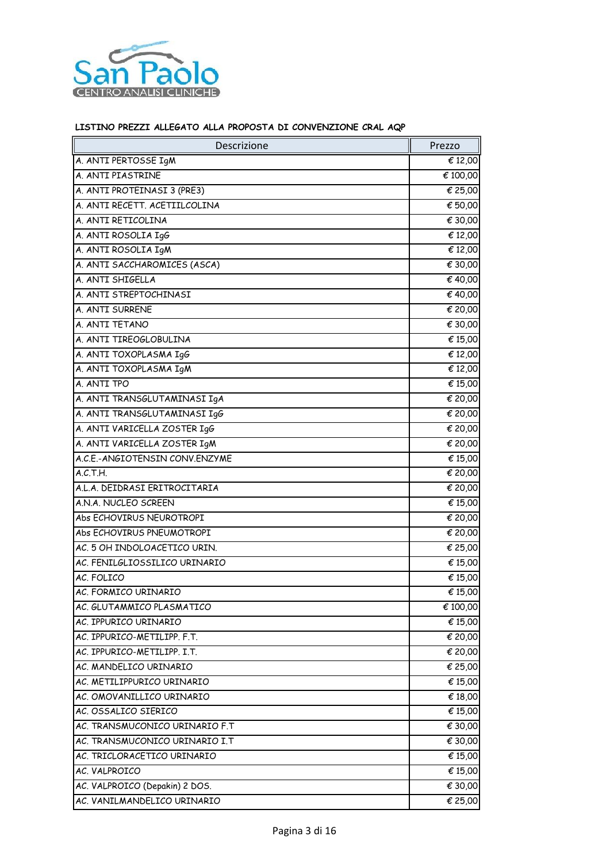

| Descrizione                    | Prezzo   |
|--------------------------------|----------|
| A. ANTI PERTOSSE IgM           | € 12,00  |
| A. ANTI PIASTRINE              | € 100,00 |
| A. ANTI PROTEINASI 3 (PRE3)    | € 25,00  |
| A. ANTI RECETT. ACETIILCOLINA  | € 50,00  |
| A. ANTI RETICOLINA             | € 30,00  |
| A. ANTI ROSOLIA IgG            | € 12,00  |
| A. ANTI ROSOLIA IgM            | € 12,00  |
| A. ANTI SACCHAROMICES (ASCA)   | € 30,00  |
| A. ANTI SHIGELLA               | € 40,00  |
| A. ANTI STREPTOCHINASI         | € 40,00  |
| A. ANTI SURRENE                | € 20,00  |
| A. ANTI TETANO                 | € 30,00  |
| A. ANTI TIREOGLOBULINA         | € 15,00  |
| A. ANTI TOXOPLASMA IgG         | € 12,00  |
| A. ANTI TOXOPLASMA IgM         | € 12,00  |
| A. ANTI TPO                    | € 15,00  |
| A. ANTI TRANSGLUTAMINASI IgA   | € 20,00  |
| A. ANTI TRANSGLUTAMINASI IgG   | € 20,00  |
| A. ANTI VARICELLA ZOSTER IgG   | € 20,00  |
| A. ANTI VARICELLA ZOSTER IgM   | € 20,00  |
| A.C.E.-ANGIOTENSIN CONV.ENZYME | € 15,00  |
| A.C.T.H.                       | € 20,00  |
| A.L.A. DEIDRASI ERITROCITARIA  | € 20,00  |
| A.N.A. NUCLEO SCREEN           | € 15,00  |
| Abs ECHOVIRUS NEUROTROPI       | € 20,00  |
| Abs ECHOVIRUS PNEUMOTROPI      | € 20,00  |
| AC. 5 OH INDOLOACETICO URIN.   | € 25,00  |
| AC. FENILGLIOSSILICO URINARIO  | € 15,00  |
| AC. FOLICO                     | € 15,00  |
| AC. FORMICO URINARIO           | € 15,00  |
| AC. GLUTAMMICO PLASMATICO      | € 100,00 |
| AC. IPPURICO URINARIO          | € 15,00  |
| AC. IPPURICO-METILIPP. F.T.    | € 20,00  |
| AC. IPPURICO-METILIPP. I.T.    | € 20,00  |
| AC. MANDELICO URINARIO         | € 25,00  |
| AC. METILIPPURICO URINARIO     | € 15,00  |
| AC. OMOVANILLICO URINARIO      | € 18,00  |
| AC. OSSALICO SIERICO           | € 15,00  |
| AC. TRANSMUCONICO URINARIO F.T | € 30,00  |
| AC. TRANSMUCONICO URINARIO I.T | € 30,00  |
| AC. TRICLORACETICO URINARIO    | € 15,00  |
| AC. VALPROICO                  | € 15,00  |
| AC. VALPROICO (Depakin) 2 DOS. | € 30,00  |
| AC. VANILMANDELICO URINARIO    | € 25,00  |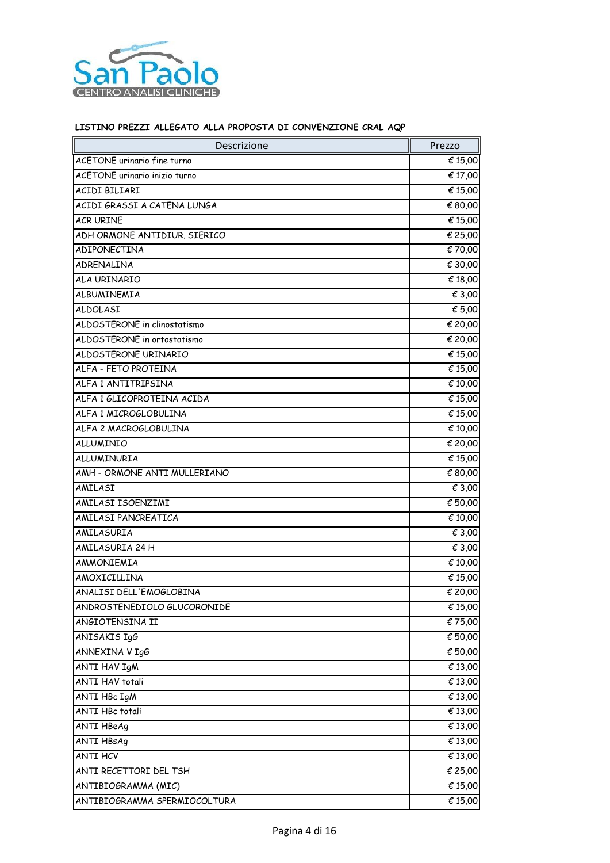

| Descrizione                   | Prezzo  |
|-------------------------------|---------|
| ACETONE urinario fine turno   | € 15,00 |
| ACETONE urinario inizio turno | € 17,00 |
| ACIDI BILIARI                 | € 15,00 |
| ACIDI GRASSI A CATENA LUNGA   | € 80,00 |
| <b>ACR URINE</b>              | € 15,00 |
| ADH ORMONE ANTIDIUR. SIERICO  | € 25,00 |
| ADIPONECTINA                  | €70,00  |
| ADRENALINA                    | € 30,00 |
| ALA URINARIO                  | € 18,00 |
| ALBUMINEMIA                   | € 3,00  |
| ALDOLASI                      | € 5,00  |
| ALDOSTERONE in clinostatismo  | € 20,00 |
| ALDOSTERONE in ortostatismo   | € 20,00 |
| ALDOSTERONE URINARIO          | € 15,00 |
| ALFA - FETO PROTEINA          | € 15,00 |
| ALFA 1 ANTITRIPSINA           | € 10,00 |
| ALFA 1 GLICOPROTEINA ACIDA    | € 15,00 |
| ALFA 1 MICROGLOBULINA         | € 15,00 |
| ALFA 2 MACROGLOBULINA         | € 10,00 |
| ALLUMINIO                     | € 20,00 |
| ALLUMINURIA                   | € 15,00 |
| AMH - ORMONE ANTI MULLERIANO  | € 80,00 |
| AMILASI                       | € 3,00  |
| AMILASI ISOENZIMI             | € 50,00 |
| AMILASI PANCREATICA           | € 10,00 |
| AMILASURIA                    | € 3,00  |
| AMILASURIA 24 H               | € 3,00  |
| AMMONIEMIA                    | € 10,00 |
| AMOXICILLINA                  | € 15,00 |
| ANALISI DELL'EMOGLOBINA       | € 20,00 |
| ANDROSTENEDIOLO GLUCORONIDE   | € 15,00 |
| ANGIOTENSINA II               | €75,00  |
| ANISAKIS IgG                  | € 50,00 |
| ANNEXINA V IgG                | € 50,00 |
| <b>ANTI HAV IgM</b>           | € 13,00 |
| <b>ANTI HAV totali</b>        | € 13,00 |
| ANTI HBc IgM                  | € 13,00 |
| ANTI HBc totali               | € 13,00 |
| <b>ANTI HBeAg</b>             | € 13,00 |
| ANTI HBsAg                    | € 13,00 |
| <b>ANTI HCV</b>               | € 13,00 |
| ANTI RECETTORI DEL TSH        | € 25,00 |
| ANTIBIOGRAMMA (MIC)           | € 15,00 |
| ANTIBIOGRAMMA SPERMIOCOLTURA  | € 15,00 |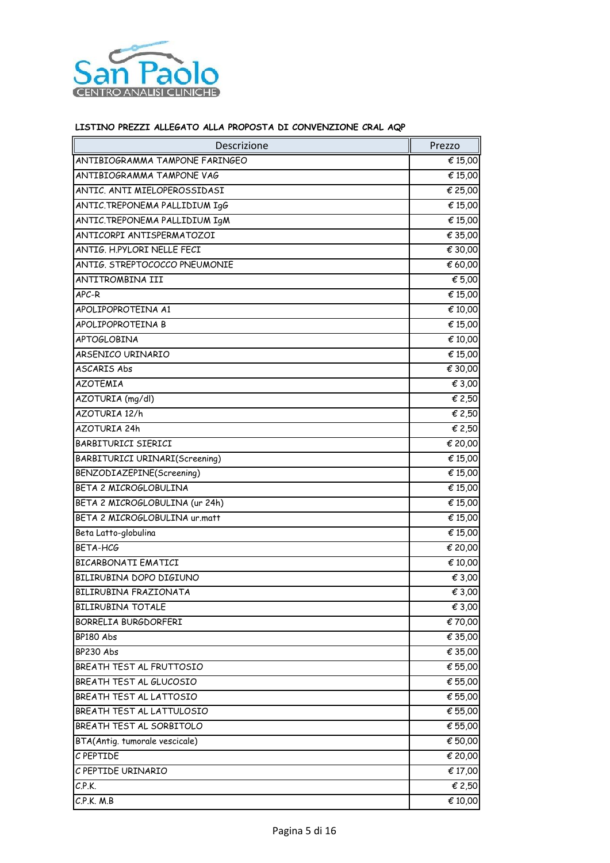

| Descrizione                    | Prezzo  |
|--------------------------------|---------|
| ANTIBIOGRAMMA TAMPONE FARINGEO | € 15,00 |
| ANTIBIOGRAMMA TAMPONE VAG      | € 15,00 |
| ANTIC. ANTI MIELOPEROSSIDASI   | € 25,00 |
| ANTIC.TREPONEMA PALLIDIUM IgG  | € 15,00 |
| ANTIC.TREPONEMA PALLIDIUM IgM  | € 15,00 |
| ANTICORPI ANTISPERMATOZOI      | € 35,00 |
| ANTIG. H.PYLORI NELLE FECI     | € 30,00 |
| ANTIG. STREPTOCOCCO PNEUMONIE  | € 60,00 |
| ANTITROMBINA III               | € 5,00  |
| APC-R                          | € 15,00 |
| APOLIPOPROTEINA A1             | € 10,00 |
| APOLIPOPROTEINA B              | € 15,00 |
| <b>APTOGLOBINA</b>             | € 10,00 |
| ARSENICO URINARIO              | € 15,00 |
| ASCARIS Abs                    | € 30,00 |
| <b>AZOTEMIA</b>                | € 3,00  |
| AZOTURIA (mg/dl)               | € 2,50  |
| AZOTURIA 12/h                  | € 2,50  |
| AZOTURIA 24h                   | € 2,50  |
| BARBITURICI SIERICI            | € 20,00 |
| BARBITURICI URINARI(Screening) | € 15,00 |
| BENZODIAZEPINE(Screening)      | € 15,00 |
| BETA 2 MICROGLOBULINA          | € 15,00 |
| BETA 2 MICROGLOBULINA (ur 24h) | € 15,00 |
| BETA 2 MICROGLOBULINA ur.matt  | € 15,00 |
| Beta Latto-globulina           | € 15,00 |
| BETA-HCG                       | € 20,00 |
| BICARBONATI EMATICI            | € 10,00 |
| BILIRUBINA DOPO DIGIUNO        | € 3,00  |
| BILIRUBINA FRAZIONATA          | € 3,00  |
| <b>BILIRUBINA TOTALE</b>       | € 3,00  |
| BORRELIA BURGDORFERI           | € 70,00 |
| BP180 Abs                      | € 35,00 |
| BP230 Abs                      | € 35,00 |
| BREATH TEST AL FRUTTOSIO       | € 55,00 |
| BREATH TEST AL GLUCOSIO        | € 55,00 |
| BREATH TEST AL LATTOSIO        | € 55,00 |
| BREATH TEST AL LATTULOSIO      | € 55,00 |
| BREATH TEST AL SORBITOLO       | € 55,00 |
| BTA(Antig. tumorale vescicale) | € 50,00 |
| C PEPTIDE                      | € 20,00 |
| C PEPTIDE URINARIO             | € 17,00 |
| C.P.K.                         | € 2,50  |
| C.P.K. M.B                     | € 10,00 |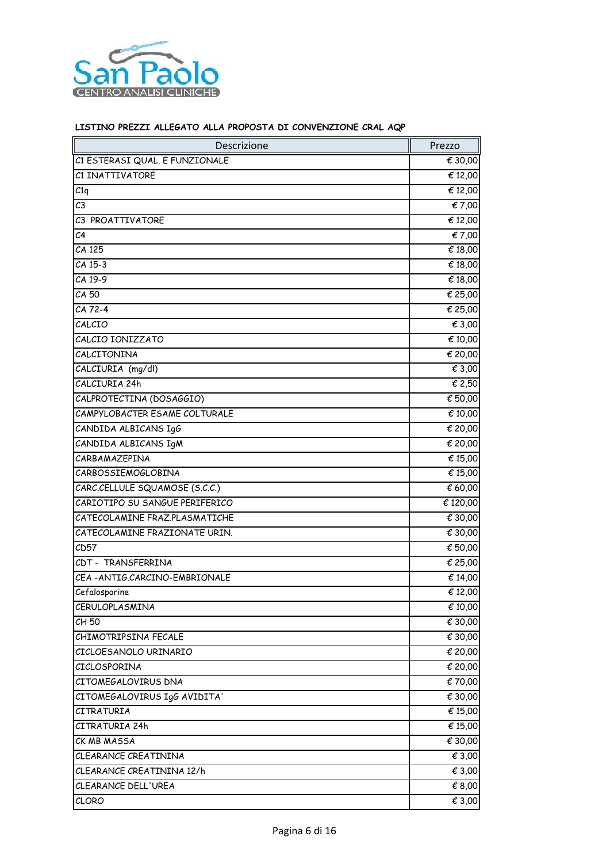

| Descrizione                    | Prezzo                      |
|--------------------------------|-----------------------------|
| C1 ESTERASI QUAL. E FUNZIONALE | € 30,00                     |
| <b>C1 INATTIVATORE</b>         | € 12,00                     |
| C1q                            | € 12,00                     |
| C <sub>3</sub>                 | € 7,00                      |
| C3 PROATTIVATORE               | € 12,00                     |
| C <sub>4</sub>                 | € 7,00                      |
| CA 125                         | € 18,00                     |
| CA 15-3                        | € 18,00                     |
| CA 19-9                        | € 18,00                     |
| CA 50                          | € 25,00                     |
| CA 72-4                        | € 25,00                     |
| CALCIO                         | € 3,00                      |
| CALCIO IONIZZATO               | € 10,00                     |
| CALCITONINA                    | € 20,00                     |
| CALCIURIA (mg/dl)              | € 3,00                      |
| CALCIURIA 24h                  | € 2,50                      |
| CALPROTECTINA (DOSAGGIO)       | $\overline{\epsilon}$ 50,00 |
| CAMPYLOBACTER ESAME COLTURALE  | € 10,00                     |
| CANDIDA ALBICANS IgG           | € 20,00                     |
| CANDIDA ALBICANS IgM           | € 20,00                     |
| CARBAMAZEPINA                  | € 15,00                     |
| CARBOSSIEMOGLOBINA             | € 15,00                     |
| CARC.CELLULE SQUAMOSE (S.C.C.) | € 60,00                     |
| CARIOTIPO SU SANGUE PERIFERICO | € 120,00                    |
| CATECOLAMINE FRAZ.PLASMATICHE  | € 30,00                     |
| CATECOLAMINE FRAZIONATE URIN.  | € 30,00                     |
| CD57                           | € 50,00                     |
| CDT - TRANSFERRINA             | € 25,00                     |
| CEA-ANTIG.CARCINO-EMBRIONALE   | € 14,00                     |
| Cefalosporine                  | € 12,00                     |
| CERULOPLASMINA                 | € 10,00                     |
| CH 50                          | € 30,00                     |
| CHIMOTRIPSINA FECALE           | € 30,00                     |
| CICLOESANOLO URINARIO          | € 20,00                     |
| CICLOSPORINA                   | € 20,00                     |
| CITOMEGALOVIRUS DNA            | € 70,00                     |
| CITOMEGALOVIRUS IgG AVIDITA'   | € 30,00                     |
| CITRATURIA                     | € 15,00                     |
| CITRATURIA 24h                 | € 15,00                     |
| CK MB MASSA                    | € 30,00                     |
| CLEARANCE CREATININA           | € 3,00                      |
| CLEARANCE CREATININA 12/h      | € 3,00                      |
| CLEARANCE DELL'UREA            | € 8,00                      |
| CLORO                          | € 3,00                      |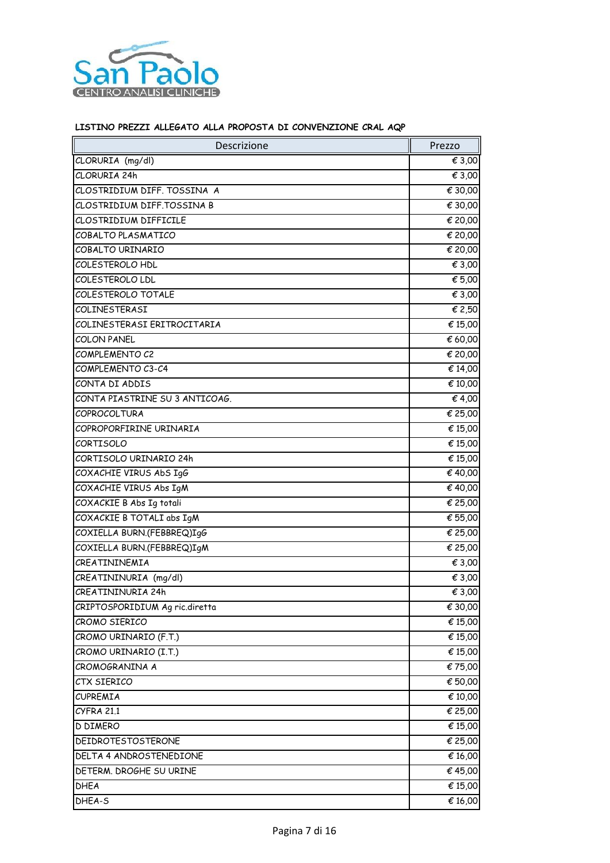

| Descrizione                    | Prezzo  |
|--------------------------------|---------|
| CLORURIA (mg/dl)               | € 3,00  |
| CLORURIA 24h                   | € 3,00  |
| CLOSTRIDIUM DIFF. TOSSINA A    | € 30,00 |
| CLOSTRIDIUM DIFF.TOSSINA B     | € 30,00 |
| CLOSTRIDIUM DIFFICILE          | € 20,00 |
| COBALTO PLASMATICO             | € 20,00 |
| COBALTO URINARIO               | € 20,00 |
| COLESTEROLO HDL                | € 3,00  |
| COLESTEROLO LDL                | € 5,00  |
| COLESTEROLO TOTALE             | € 3,00  |
| COLINESTERASI                  | € 2,50  |
| COLINESTERASI ERITROCITARIA    | € 15,00 |
| COLON PANEL                    | € 60,00 |
| COMPLEMENTO C2                 | € 20,00 |
| COMPLEMENTO C3-C4              | € 14,00 |
| CONTA DI ADDIS                 | € 10,00 |
| CONTA PIASTRINE SU 3 ANTICOAG. | € 4,00  |
| <b>COPROCOLTURA</b>            | € 25,00 |
| COPROPORFIRINE URINARIA        | € 15,00 |
| CORTISOLO                      | € 15,00 |
| CORTISOLO URINARIO 24h         | € 15,00 |
| COXACHIE VIRUS AbS IgG         | € 40,00 |
| COXACHIE VIRUS Abs IgM         | € 40,00 |
| COXACKIE B Abs Ig totali       | € 25,00 |
| COXACKIE B TOTALI abs IgM      | € 55,00 |
| COXIELLA BURN.(FEBBREQ)IgG     | € 25,00 |
| COXIELLA BURN.(FEBBREQ)IgM     | € 25,00 |
| CREATININEMIA                  | € 3,00  |
| CREATININURIA (mg/dl)          | € 3,00  |
| CREATININURIA 24h              | € 3,00  |
| CRIPTOSPORIDIUM Ag ric.diretta | € 30,00 |
| CROMO SIERICO                  | € 15,00 |
| CROMO URINARIO (F.T.)          | € 15,00 |
| CROMO URINARIO (I.T.)          | € 15,00 |
| CROMOGRANINA A                 | €75,00  |
| CTX SIERICO                    | € 50,00 |
| CUPREMIA                       | € 10,00 |
| <b>CYFRA 21.1</b>              | € 25,00 |
| <b>D DIMERO</b>                | € 15,00 |
| DEIDROTESTOSTERONE             | € 25,00 |
| DELTA 4 ANDROSTENEDIONE        | € 16,00 |
| DETERM. DROGHE SU URINE        | €45,00  |
| DHEA                           | € 15,00 |
| DHEA-S                         | € 16,00 |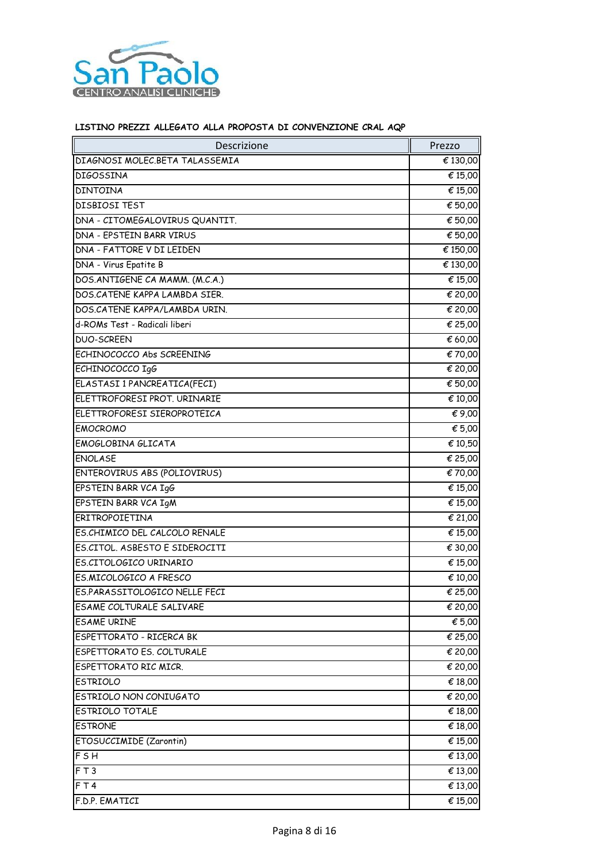

| Descrizione                    | Prezzo   |
|--------------------------------|----------|
| DIAGNOSI MOLEC.BETA TALASSEMIA | € 130,00 |
| <b>DIGOSSINA</b>               | € 15,00  |
| <b>DINTOINA</b>                | € 15,00  |
| DISBIOSI TEST                  | € 50,00  |
| DNA - CITOMEGALOVIRUS QUANTIT. | € 50,00  |
| DNA - EPSTEIN BARR VIRUS       | € 50,00  |
| DNA - FATTORE V DI LEIDEN      | € 150,00 |
| DNA - Virus Epatite B          | € 130,00 |
| DOS.ANTIGENE CA MAMM. (M.C.A.) | € 15,00  |
| DOS.CATENE KAPPA LAMBDA SIER.  | € 20,00  |
| DOS.CATENE KAPPA/LAMBDA URIN.  | € 20,00  |
| d-ROMs Test - Radicali liberi  | € 25,00  |
| <b>DUO-SCREEN</b>              | € 60,00  |
| ECHINOCOCCO Abs SCREENING      | € 70,00  |
| ECHINOCOCCO IgG                | € 20,00  |
| ELASTASI 1 PANCREATICA(FECI)   | € 50,00  |
| ELETTROFORESI PROT. URINARIE   | € 10,00  |
| ELETTROFORESI SIEROPROTEICA    | € 9,00   |
| <b>EMOCROMO</b>                | € 5,00   |
| EMOGLOBINA GLICATA             | € 10,50  |
| <b>ENOLASE</b>                 | € 25,00  |
| ENTEROVIRUS ABS (POLIOVIRUS)   | € 70,00  |
| EPSTEIN BARR VCA IgG           | € 15,00  |
| EPSTEIN BARR VCA IgM           | € 15,00  |
| ERITROPOIETINA                 | € 21,00  |
| ES.CHIMICO DEL CALCOLO RENALE  | € 15,00  |
| ES.CITOL. ASBESTO E SIDEROCITI | € 30,00  |
| ES.CITOLOGICO URINARIO         | € 15,00  |
| ES.MICOLOGICO A FRESCO         | € 10,00  |
| ES.PARASSITOLOGICO NELLE FECI  | € 25,00  |
| ESAME COLTURALE SALIVARE       | € 20,00  |
| <b>ESAME URINE</b>             | € 5,00   |
| ESPETTORATO - RICERCA BK       | € 25,00  |
| ESPETTORATO ES. COLTURALE      | € 20,00  |
| ESPETTORATO RIC MICR.          | € 20,00  |
| <b>ESTRIOLO</b>                | € 18,00  |
| ESTRIOLO NON CONIUGATO         | € 20,00  |
| ESTRIOLO TOTALE                | € 18,00  |
| <b>ESTRONE</b>                 | € 18,00  |
| <b>ETOSUCCIMIDE (Zarontin)</b> | € 15,00  |
| FSH                            | € 13,00  |
| FT3                            | € 13,00  |
| F T4                           | € 13,00  |
| F.D.P. EMATICI                 | € 15,00  |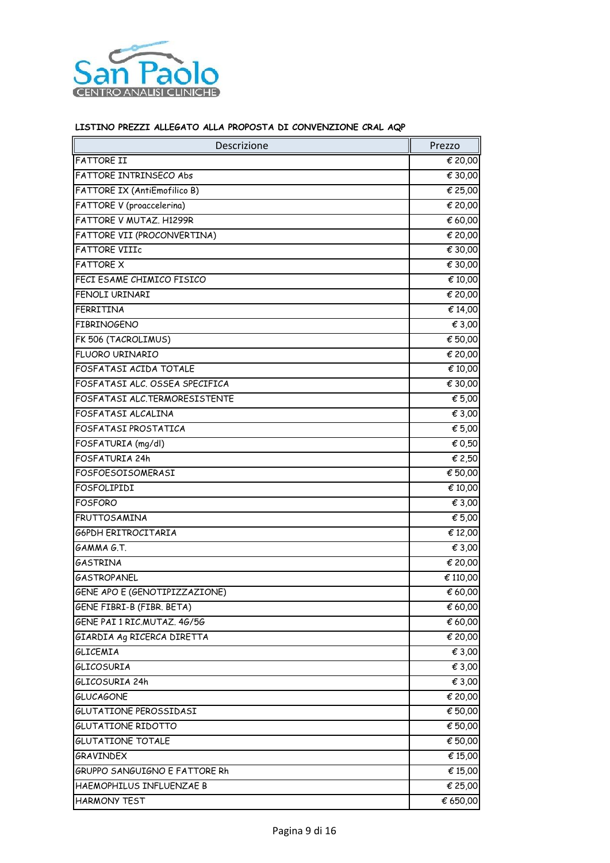

| Descrizione                    | Prezzo   |
|--------------------------------|----------|
| <b>FATTORE II</b>              | € 20,00  |
| FATTORE INTRINSECO Abs         | € 30,00  |
| FATTORE IX (AntiEmofilico B)   | € 25,00  |
| FATTORE V (proaccelerina)      | € 20,00  |
| FATTORE V MUTAZ. H1299R        | € 60,00  |
| FATTORE VII (PROCONVERTINA)    | € 20,00  |
| <b>FATTORE VIIIc</b>           | € 30,00  |
| <b>FATTORE X</b>               | € 30,00  |
| FECI ESAME CHIMICO FISICO      | € 10,00  |
| FENOLI URINARI                 | € 20,00  |
| FERRITINA                      | € 14,00  |
| <b>FIBRINOGENO</b>             | € 3,00   |
| FK 506 (TACROLIMUS)            | € 50,00  |
| FLUORO URINARIO                | € 20,00  |
| FOSFATASI ACIDA TOTALE         | € 10,00  |
| FOSFATASI ALC. OSSEA SPECIFICA | € 30,00  |
| FOSFATASI ALC.TERMORESISTENTE  | € 5,00   |
| FOSFATASI ALCALINA             | € 3,00   |
| FOSFATASI PROSTATICA           | € 5,00   |
| FOSFATURIA (mg/dl)             | € 0,50   |
| FOSFATURIA 24h                 | € 2,50   |
| FOSFOESOISOMERASI              | € 50,00  |
| FOSFOLIPIDI                    | € 10,00  |
| <b>FOSFORO</b>                 | € 3,00   |
| <b>FRUTTOSAMINA</b>            | € 5,00   |
| G6PDH ERITROCITARIA            | € 12,00  |
| GAMMA G.T.                     | € 3,00   |
| GASTRINA                       | € 20,00  |
| <b>GASTROPANEL</b>             | € 110,00 |
| GENE APO E (GENOTIPIZZAZIONE)  | € 60,00  |
| GENE FIBRI-B (FIBR. BETA)      | € 60,00  |
| GENE PAI 1 RIC.MUTAZ. 4G/5G    | € 60,00  |
| GIARDIA AG RICERCA DIRETTA     | € 20,00  |
| GLICEMIA                       | € 3,00   |
| <b>GLICOSURIA</b>              | € 3,00   |
| GLICOSURIA 24h                 | € 3,00   |
| <b>GLUCAGONE</b>               | € 20,00  |
| GLUTATIONE PEROSSIDASI         | € 50,00  |
| <b>GLUTATIONE RIDOTTO</b>      | € 50,00  |
| <b>GLUTATIONE TOTALE</b>       | € 50,00  |
| <b>GRAVINDEX</b>               | € 15,00  |
| GRUPPO SANGUIGNO E FATTORE Rh  | € 15,00  |
| HAEMOPHILUS INFLUENZAE B       | € 25,00  |
| HARMONY TEST                   | € 650,00 |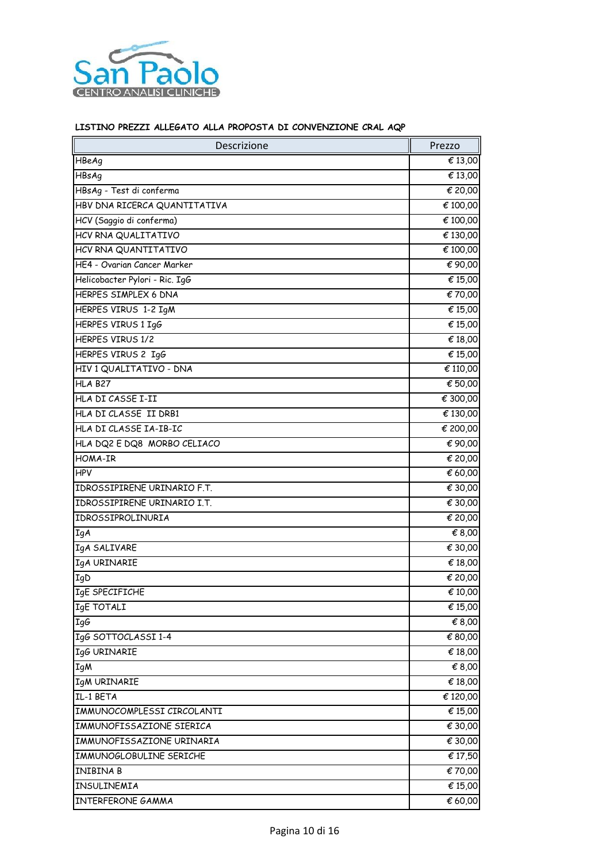

| Descrizione                    | Prezzo   |
|--------------------------------|----------|
| HBeAg                          | € 13,00  |
| HBsAg                          | € 13,00  |
| HBsAg - Test di conferma       | € 20,00  |
| HBV DNA RICERCA QUANTITATIVA   | € 100,00 |
| HCV (Saggio di conferma)       | € 100,00 |
| HCV RNA QUALITATIVO            | € 130,00 |
| HCV RNA QUANTITATIVO           | € 100,00 |
| HE4 - Ovarian Cancer Marker    | € 90,00  |
| Helicobacter Pylori - Ric. IgG | € 15,00  |
| HERPES SIMPLEX 6 DNA           | €70,00   |
| HERPES VIRUS 1-2 IgM           | € 15,00  |
| HERPES VIRUS 1 IgG             | € 15,00  |
| HERPES VIRUS 1/2               | € 18,00  |
| HERPES VIRUS 2 IgG             | € 15,00  |
| HIV 1 QUALITATIVO - DNA        | € 110,00 |
| <b>HLA B27</b>                 | € 50,00  |
| HLA DI CASSE I-II              | € 300,00 |
| HLA DI CLASSE II DRB1          | € 130,00 |
| HLA DI CLASSE IA-IB-IC         | € 200,00 |
| HLA DQ2 E DQ8 MORBO CELIACO    | € 90,00  |
| HOMA-IR                        | € 20,00  |
| <b>HPV</b>                     | € 60,00  |
| IDROSSIPIRENE URINARIO F.T.    | € 30,00  |
| IDROSSIPIRENE URINARIO I.T.    | € 30,00  |
| IDROSSIPROLINURIA              | € 20,00  |
| <b>IgA</b>                     | € 8,00   |
| IgA SALIVARE                   | € 30,00  |
| IgA URINARIE                   | € 18,00  |
| <b>IgD</b>                     | € 20,00  |
| IgE SPECIFICHE                 | € 10,00  |
| <b>IgE TOTALI</b>              | € 15,00  |
| IgG                            | € 8,00   |
| IgG SOTTOCLASSI 1-4            | € 80,00  |
| IgG URINARIE                   | € 18,00  |
| <b>IgM</b>                     | € 8,00   |
| <b>IgM URINARIE</b>            | € 18,00  |
| IL-1 BETA                      | € 120,00 |
| IMMUNOCOMPLESSI CIRCOLANTI     | € 15,00  |
| IMMUNOFISSAZIONE SIERICA       | € 30,00  |
| IMMUNOFISSAZIONE URINARIA      | € 30,00  |
| IMMUNOGLOBULINE SERICHE        | € 17,50  |
| INIBINA B                      | € 70,00  |
| INSULINEMIA                    | € 15,00  |
| INTERFERONE GAMMA              | € 60,00  |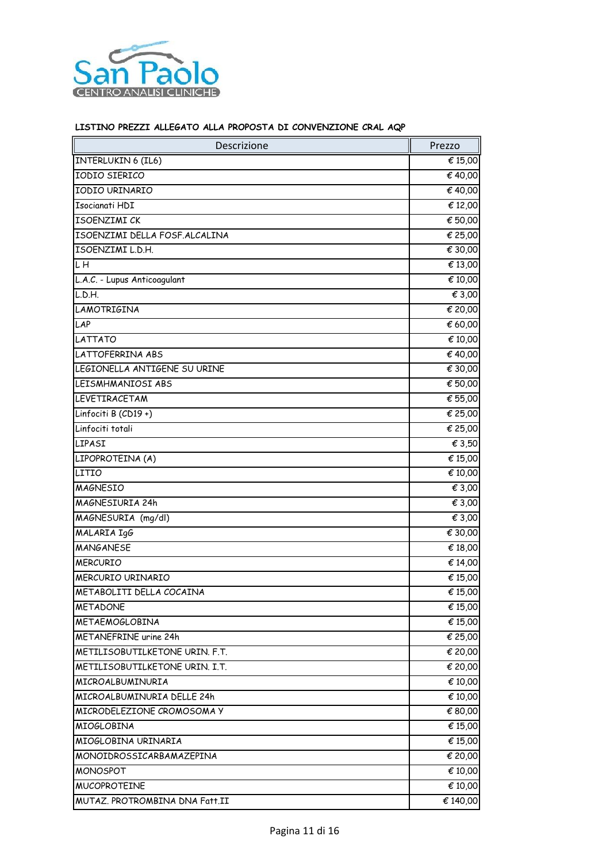

| € 15,00<br>€ 40,00<br>€ 40,00<br>€ 12,00<br>€ 50,00<br>€ 25,00<br>€ 30,00<br>€ 13,00<br>€ 10,00<br>€ 3,00<br>€ 20,00<br>LAP<br>€ 60,00<br>€ 10,00<br>€ 40,00<br>€ 30,00<br>€ 50,00<br>€ 55,00<br>Linfociti B (CD19+)<br>€ 25,00<br>Linfociti totali<br>$\overline{\epsilon}$ 25,00<br>€ 3,50<br>LIPASI<br>LIPOPROTEINA (A)<br>€ 15,00<br>LITIO<br>€ 10,00<br><b>MAGNESIO</b><br>€ 3,00<br>MAGNESIURIA 24h<br>€ 3,00<br>MAGNESURIA (mg/dl)<br>€ 3,00<br>MALARIA IgG<br>€ 30,00<br><b>MANGANESE</b><br>€ 18,00<br><b>MERCURIO</b><br>€ 14,00<br>MERCURIO URINARIO<br>€ 15,00<br>€ 15,00<br>METABOLITI DELLA COCAINA<br><b>METADONE</b><br>€ 15,00<br>€ 15,00<br><b>METAEMOGLOBINA</b><br>METANEFRINE urine 24h<br>€ 25,00<br>€ 20,00<br>€ 20,00<br>€ 10,00<br>€ 10,00<br>€ 80,00<br>€ 15,00<br>€ 15,00<br>€ 20,00<br>€ 10,00<br>€ 10,00<br>€ 140,00 | Descrizione                    | Prezzo |
|---------------------------------------------------------------------------------------------------------------------------------------------------------------------------------------------------------------------------------------------------------------------------------------------------------------------------------------------------------------------------------------------------------------------------------------------------------------------------------------------------------------------------------------------------------------------------------------------------------------------------------------------------------------------------------------------------------------------------------------------------------------------------------------------------------------------------------------------------|--------------------------------|--------|
|                                                                                                                                                                                                                                                                                                                                                                                                                                                                                                                                                                                                                                                                                                                                                                                                                                                   | <b>INTERLUKIN 6 (IL6)</b>      |        |
|                                                                                                                                                                                                                                                                                                                                                                                                                                                                                                                                                                                                                                                                                                                                                                                                                                                   | IODIO SIERICO                  |        |
|                                                                                                                                                                                                                                                                                                                                                                                                                                                                                                                                                                                                                                                                                                                                                                                                                                                   | IODIO URINARIO                 |        |
|                                                                                                                                                                                                                                                                                                                                                                                                                                                                                                                                                                                                                                                                                                                                                                                                                                                   | Isocianati HDI                 |        |
|                                                                                                                                                                                                                                                                                                                                                                                                                                                                                                                                                                                                                                                                                                                                                                                                                                                   | ISOENZIMI CK                   |        |
|                                                                                                                                                                                                                                                                                                                                                                                                                                                                                                                                                                                                                                                                                                                                                                                                                                                   | ISOENZIMI DELLA FOSF.ALCALINA  |        |
|                                                                                                                                                                                                                                                                                                                                                                                                                                                                                                                                                                                                                                                                                                                                                                                                                                                   | ISOENZIMI L.D.H.               |        |
|                                                                                                                                                                                                                                                                                                                                                                                                                                                                                                                                                                                                                                                                                                                                                                                                                                                   | $L\overline{H}$                |        |
|                                                                                                                                                                                                                                                                                                                                                                                                                                                                                                                                                                                                                                                                                                                                                                                                                                                   | L.A.C. - Lupus Anticoagulant   |        |
|                                                                                                                                                                                                                                                                                                                                                                                                                                                                                                                                                                                                                                                                                                                                                                                                                                                   | L.D.H.                         |        |
|                                                                                                                                                                                                                                                                                                                                                                                                                                                                                                                                                                                                                                                                                                                                                                                                                                                   | LAMOTRIGINA                    |        |
|                                                                                                                                                                                                                                                                                                                                                                                                                                                                                                                                                                                                                                                                                                                                                                                                                                                   |                                |        |
|                                                                                                                                                                                                                                                                                                                                                                                                                                                                                                                                                                                                                                                                                                                                                                                                                                                   | <b>LATTATO</b>                 |        |
|                                                                                                                                                                                                                                                                                                                                                                                                                                                                                                                                                                                                                                                                                                                                                                                                                                                   | LATTOFERRINA ABS               |        |
|                                                                                                                                                                                                                                                                                                                                                                                                                                                                                                                                                                                                                                                                                                                                                                                                                                                   | LEGIONELLA ANTIGENE SU URINE   |        |
|                                                                                                                                                                                                                                                                                                                                                                                                                                                                                                                                                                                                                                                                                                                                                                                                                                                   | LEISMHMANIOSI ABS              |        |
|                                                                                                                                                                                                                                                                                                                                                                                                                                                                                                                                                                                                                                                                                                                                                                                                                                                   | LEVETIRACETAM                  |        |
|                                                                                                                                                                                                                                                                                                                                                                                                                                                                                                                                                                                                                                                                                                                                                                                                                                                   |                                |        |
|                                                                                                                                                                                                                                                                                                                                                                                                                                                                                                                                                                                                                                                                                                                                                                                                                                                   |                                |        |
|                                                                                                                                                                                                                                                                                                                                                                                                                                                                                                                                                                                                                                                                                                                                                                                                                                                   |                                |        |
|                                                                                                                                                                                                                                                                                                                                                                                                                                                                                                                                                                                                                                                                                                                                                                                                                                                   |                                |        |
|                                                                                                                                                                                                                                                                                                                                                                                                                                                                                                                                                                                                                                                                                                                                                                                                                                                   |                                |        |
|                                                                                                                                                                                                                                                                                                                                                                                                                                                                                                                                                                                                                                                                                                                                                                                                                                                   |                                |        |
|                                                                                                                                                                                                                                                                                                                                                                                                                                                                                                                                                                                                                                                                                                                                                                                                                                                   |                                |        |
|                                                                                                                                                                                                                                                                                                                                                                                                                                                                                                                                                                                                                                                                                                                                                                                                                                                   |                                |        |
|                                                                                                                                                                                                                                                                                                                                                                                                                                                                                                                                                                                                                                                                                                                                                                                                                                                   |                                |        |
|                                                                                                                                                                                                                                                                                                                                                                                                                                                                                                                                                                                                                                                                                                                                                                                                                                                   |                                |        |
|                                                                                                                                                                                                                                                                                                                                                                                                                                                                                                                                                                                                                                                                                                                                                                                                                                                   |                                |        |
|                                                                                                                                                                                                                                                                                                                                                                                                                                                                                                                                                                                                                                                                                                                                                                                                                                                   |                                |        |
|                                                                                                                                                                                                                                                                                                                                                                                                                                                                                                                                                                                                                                                                                                                                                                                                                                                   |                                |        |
|                                                                                                                                                                                                                                                                                                                                                                                                                                                                                                                                                                                                                                                                                                                                                                                                                                                   |                                |        |
|                                                                                                                                                                                                                                                                                                                                                                                                                                                                                                                                                                                                                                                                                                                                                                                                                                                   |                                |        |
|                                                                                                                                                                                                                                                                                                                                                                                                                                                                                                                                                                                                                                                                                                                                                                                                                                                   |                                |        |
|                                                                                                                                                                                                                                                                                                                                                                                                                                                                                                                                                                                                                                                                                                                                                                                                                                                   | METILISOBUTILKETONE URIN. F.T. |        |
|                                                                                                                                                                                                                                                                                                                                                                                                                                                                                                                                                                                                                                                                                                                                                                                                                                                   | METILISOBUTILKETONE URIN. I.T. |        |
|                                                                                                                                                                                                                                                                                                                                                                                                                                                                                                                                                                                                                                                                                                                                                                                                                                                   | MICROALBUMINURIA               |        |
|                                                                                                                                                                                                                                                                                                                                                                                                                                                                                                                                                                                                                                                                                                                                                                                                                                                   | MICROALBUMINURIA DELLE 24h     |        |
|                                                                                                                                                                                                                                                                                                                                                                                                                                                                                                                                                                                                                                                                                                                                                                                                                                                   | MICRODELEZIONE CROMOSOMA Y     |        |
|                                                                                                                                                                                                                                                                                                                                                                                                                                                                                                                                                                                                                                                                                                                                                                                                                                                   | <b>MIOGLOBINA</b>              |        |
|                                                                                                                                                                                                                                                                                                                                                                                                                                                                                                                                                                                                                                                                                                                                                                                                                                                   | MIOGLOBINA URINARIA            |        |
|                                                                                                                                                                                                                                                                                                                                                                                                                                                                                                                                                                                                                                                                                                                                                                                                                                                   | MONOIDROSSICARBAMAZEPINA       |        |
|                                                                                                                                                                                                                                                                                                                                                                                                                                                                                                                                                                                                                                                                                                                                                                                                                                                   | MONOSPOT                       |        |
|                                                                                                                                                                                                                                                                                                                                                                                                                                                                                                                                                                                                                                                                                                                                                                                                                                                   | <b>MUCOPROTEINE</b>            |        |
|                                                                                                                                                                                                                                                                                                                                                                                                                                                                                                                                                                                                                                                                                                                                                                                                                                                   | MUTAZ. PROTROMBINA DNA Fatt.II |        |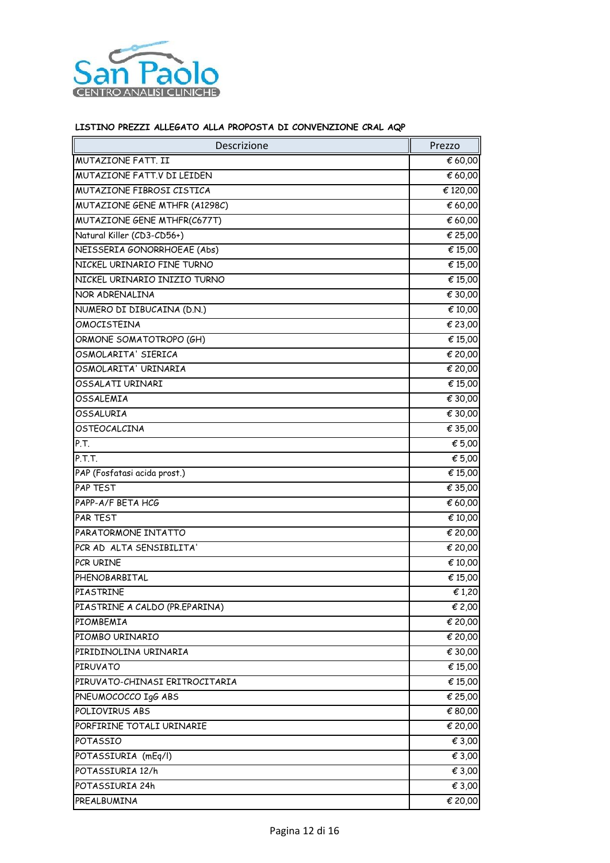

| Descrizione                    | Prezzo                      |
|--------------------------------|-----------------------------|
| MUTAZIONE FATT. II             | € 60,00                     |
| MUTAZIONE FATT.V DI LEIDEN     | € 60,00                     |
| MUTAZIONE FIBROSI CISTICA      | € 120,00                    |
| MUTAZIONE GENE MTHFR (A1298C)  | € 60,00                     |
| MUTAZIONE GENE MTHFR(C677T)    | € 60,00                     |
| Natural Killer (CD3-CD56+)     | € 25,00                     |
| NEISSERIA GONORRHOEAE (Abs)    | € 15,00                     |
| NICKEL URINARIO FINE TURNO     | € 15,00                     |
| NICKEL URINARIO INIZIO TURNO   | € 15,00                     |
| NOR ADRENALINA                 | € 30,00                     |
| NUMERO DI DIBUCAINA (D.N.)     | € 10,00                     |
| OMOCISTEINA                    | € 23,00                     |
| ORMONE SOMATOTROPO (GH)        | € 15,00                     |
| OSMOLARITA' SIERICA            | € 20,00                     |
| OSMOLARITA' URINARIA           | € 20,00                     |
| OSSALATI URINARI               | € 15,00                     |
| OSSALEMIA                      | € 30,00                     |
| OSSALURIA                      | € 30,00                     |
| OSTEOCALCINA                   | € 35,00                     |
| P.T.                           | € 5,00                      |
| P.T.T.                         | € 5,00                      |
| PAP (Fosfatasi acida prost.)   | € 15,00                     |
| PAP TEST                       | € 35,00                     |
| PAPP-A/F BETA HCG              | € 60,00                     |
| PAR TEST                       | € 10,00                     |
| PARATORMONE INTATTO            | € 20,00                     |
| PCR AD ALTA SENSIBILITA'       | € 20,00                     |
| PCR URINE                      | € 10,00                     |
| PHENOBARBITAL                  | $\overline{\epsilon}$ 15,00 |
| PIASTRINE                      | €1,20                       |
| PIASTRINE A CALDO (PR.EPARINA) | € 2,00                      |
| PIOMBEMIA                      | € 20,00                     |
| PIOMBO URINARIO                | € 20,00                     |
| PIRIDINOLINA URINARIA          | € 30,00                     |
| PIRUVATO                       | € 15,00                     |
| PIRUVATO-CHINASI ERITROCITARIA | € 15,00                     |
| PNEUMOCOCCO IgG ABS            | € 25,00                     |
| POLIOVIRUS ABS                 | € 80,00                     |
| PORFIRINE TOTALI URINARIE      | € 20,00                     |
| POTASSIO                       | € 3,00                      |
| POTASSIURIA (mEq/l)            | € 3,00                      |
| POTASSIURIA 12/h               | € 3,00                      |
| POTASSIURIA 24h                | € 3,00                      |
| PREALBUMINA                    | € 20,00                     |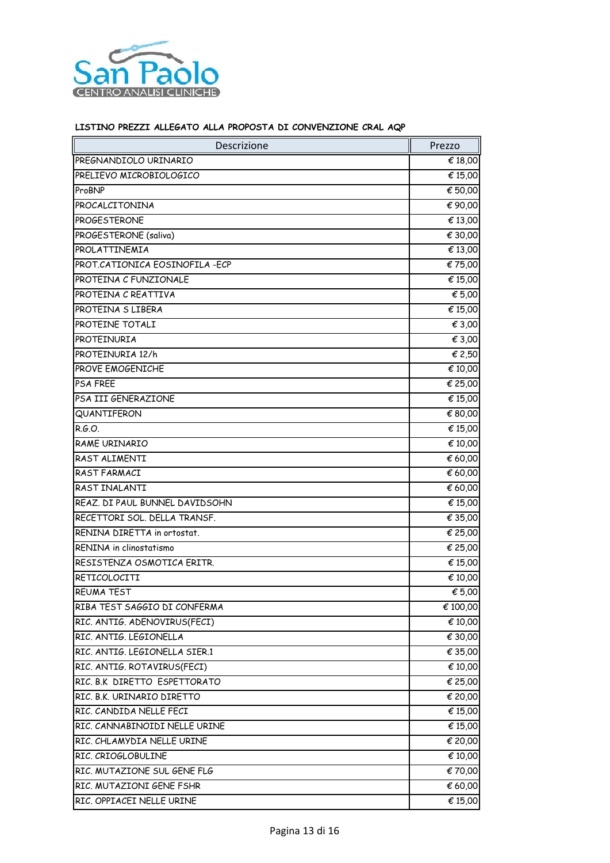

| Descrizione                     | Prezzo                      |
|---------------------------------|-----------------------------|
| PREGNANDIOLO URINARIO           | € 18,00                     |
| PRELIEVO MICROBIOLOGICO         | € 15,00                     |
| ProBNP                          | € 50,00                     |
| PROCALCITONINA                  | € 90,00                     |
| PROGESTERONE                    | € 13,00                     |
| PROGESTERONE (saliva)           | € 30,00                     |
| PROLATTINEMIA                   | € 13,00                     |
| PROT.CATIONICA EOSINOFILA - ECP | € 75,00                     |
| PROTEINA C FUNZIONALE           | € 15,00                     |
| PROTEINA C REATTIVA             | € 5,00                      |
| PROTEINA S LIBERA               | € 15,00                     |
| PROTEINE TOTALI                 | € 3,00                      |
| PROTEINURIA                     | € 3,00                      |
| PROTEINURIA 12/h                | € 2,50                      |
| PROVE EMOGENICHE                | € 10,00                     |
| <b>PSA FREE</b>                 | € 25,00                     |
| PSA III GENERAZIONE             | € 15,00                     |
| QUANTIFERON                     | € 80,00                     |
| R.G.O.                          | € 15,00                     |
| RAME URINARIO                   | € 10,00                     |
| RAST ALIMENTI                   | € 60,00                     |
| RAST FARMACI                    | € 60,00                     |
| RAST INALANTI                   | € 60,00                     |
| REAZ. DI PAUL BUNNEL DAVIDSOHN  | € 15,00                     |
| RECETTORI SOL. DELLA TRANSF.    | $\overline{\epsilon}$ 35,00 |
| RENINA DIRETTA in ortostat.     | € 25,00                     |
| RENINA in clinostatismo         | € 25,00                     |
| RESISTENZA OSMOTICA ERITR.      | € 15,00                     |
| RETICOLOCITI                    | € 10,00                     |
| <b>REUMA TEST</b>               | € 5,00                      |
| RIBA TEST SAGGIO DI CONFERMA    | € 100,00                    |
| RIC. ANTIG. ADENOVIRUS(FECI)    | € 10,00                     |
| RIC. ANTIG. LEGIONELLA          | € 30,00                     |
| RIC. ANTIG. LEGIONELLA SIER.1   | € 35,00                     |
| RIC. ANTIG. ROTAVIRUS(FECI)     | € 10,00                     |
| RIC. B.K DIRETTO ESPETTORATO    | € 25,00                     |
| RIC. B.K. URINARIO DIRETTO      | € 20,00                     |
| RIC. CANDIDA NELLE FECI         | € 15,00                     |
| RIC. CANNABINOIDI NELLE URINE   | € 15,00                     |
| RIC. CHLAMYDIA NELLE URINE      | € 20,00                     |
| RIC. CRIOGLOBULINE              | € 10,00                     |
| RIC. MUTAZIONE SUL GENE FLG     | €70,00                      |
| RIC. MUTAZIONI GENE FSHR        | € 60,00                     |
| RIC. OPPIACEI NELLE URINE       | € 15,00                     |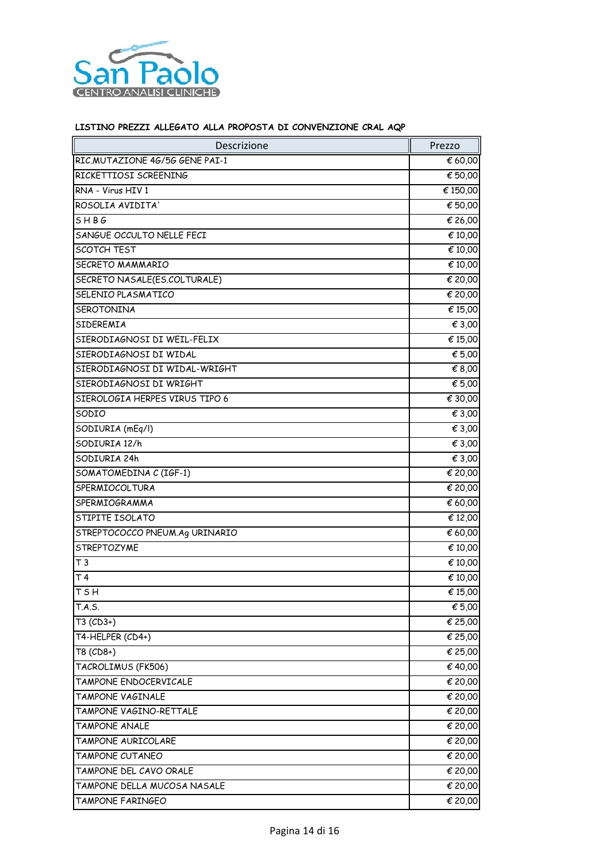

| <b>Descrizione</b>             | Prezzo   |
|--------------------------------|----------|
| RIC.MUTAZIONE 46/56 GENE PAI-1 | € 60,00  |
| RICKETTIOSI SCREENING          | € 50,00  |
| RNA - Virus HIV 1              | € 150,00 |
| ROSOLIA AVIDITA'               | € 50,00  |
| SHBG                           | € 26,00  |
| SANGUE OCCULTO NELLE FECI      | € 10,00  |
| <b>SCOTCH TEST</b>             | € 10,00  |
| SECRETO MAMMARIO               | € 10,00  |
| SECRETO NASALE(ES.COLTURALE)   | € 20,00  |
| SELENIO PLASMATICO             | € 20,00  |
| SEROTONINA                     | € 15,00  |
| SIDEREMIA                      | € 3,00   |
| SIERODIAGNOSI DI WEIL-FELIX    | € 15,00  |
| SIERODIAGNOSI DI WIDAL         | € 5,00   |
| SIERODIAGNOSI DI WIDAL-WRIGHT  | € 8,00   |
| SIERODIAGNOSI DI WRIGHT        | € 5,00   |
| SIEROLOGIA HERPES VIRUS TIPO 6 | € 30,00  |
| SODIO                          | € 3,00   |
| SODIURIA (mEq/l)               | € 3,00   |
| SODIURIA 12/h                  | € 3,00   |
| SODIURIA 24h                   | € 3,00   |
| SOMATOMEDINA C (IGF-1)         | € 20,00  |
| SPERMIOCOLTURA                 | € 20,00  |
| SPERMIOGRAMMA                  | € 60,00  |
| STIPITE ISOLATO                | € 12,00  |
| STREPTOCOCCO PNEUM.Ag URINARIO | € 60,00  |
| <b>STREPTOZYME</b>             | € 10,00  |
| T <sub>3</sub>                 | € 10,00  |
| T <sub>4</sub>                 | € 10,00  |
| <b>TSH</b>                     | € 15,00  |
| T.A.S.                         | € 5,00   |
| $T3$ (CD3+)                    | € 25,00  |
| T4-HELPER (CD4+)               | € 25,00  |
| T8 (CD8+)                      | € 25,00  |
| TACROLIMUS (FK506)             | € 40,00  |
| TAMPONE ENDOCERVICALE          | € 20,00  |
| TAMPONE VAGINALE               | € 20,00  |
| TAMPONE VAGINO-RETTALE         | € 20,00  |
| TAMPONE ANALE                  | € 20,00  |
| TAMPONE AURICOLARE             | € 20,00  |
| TAMPONE CUTANEO                | € 20,00  |
| TAMPONE DEL CAVO ORALE         | € 20,00  |
| TAMPONE DELLA MUCOSA NASALE    | € 20,00  |
| TAMPONE FARINGEO               | € 20,00  |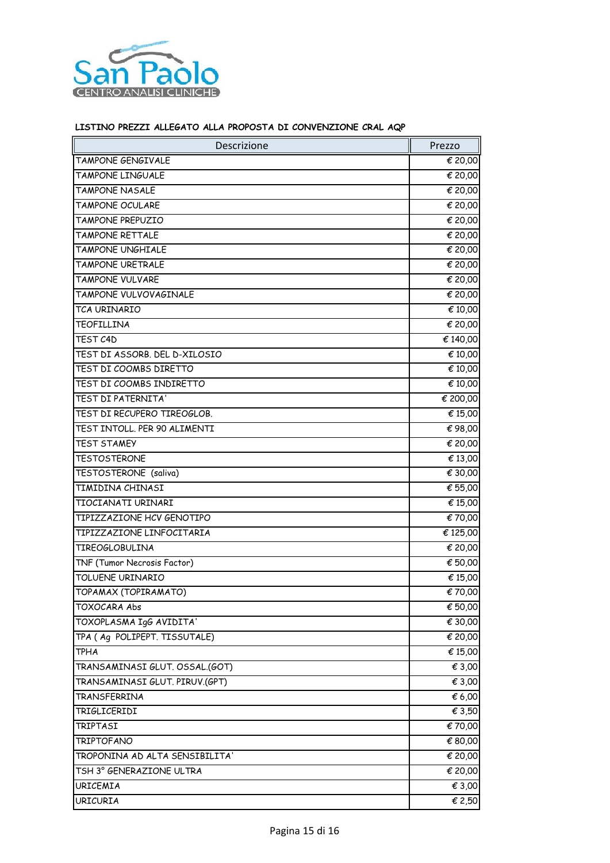

| Descrizione                    | Prezzo   |
|--------------------------------|----------|
| TAMPONE GENGIVALE              | € 20,00  |
| TAMPONE LINGUALE               | € 20,00  |
| TAMPONE NASALE                 | € 20,00  |
| TAMPONE OCULARE                | € 20,00  |
| TAMPONE PREPUZIO               | € 20,00  |
| TAMPONE RETTALE                | € 20,00  |
| TAMPONE UNGHIALE               | € 20,00  |
| TAMPONE URETRALE               | € 20,00  |
| TAMPONE VULVARE                | € 20,00  |
| TAMPONE VULVOVAGINALE          | € 20,00  |
| TCA URINARIO                   | € 10,00  |
| TEOFILLINA                     | € 20,00  |
| TFST <sub>C4D</sub>            | € 140,00 |
| TEST DI ASSORB. DEL D-XILOSIO  | € 10,00  |
| TEST DI COOMBS DIRETTO         | € 10,00  |
| TEST DI COOMBS INDIRETTO       | € 10,00  |
| TEST DI PATERNITA'             | € 200,00 |
| TEST DI RECUPERO TIREOGLOB.    | € 15,00  |
| TEST INTOLL. PER 90 ALIMENTI   | €98,00   |
| <b>TEST STAMEY</b>             | € 20,00  |
| <b>TESTOSTERONE</b>            | € 13,00  |
| TESTOSTERONE (saliva)          | € 30,00  |
| TIMIDINA CHINASI               | € 55,00  |
| TIOCIANATI URINARI             | € 15,00  |
| TIPIZZAZIONE HCV GENOTIPO      | € 70,00  |
| TIPIZZAZIONE LINFOCITARIA      | € 125,00 |
| <b>TIREOGLOBULINA</b>          | € 20,00  |
| TNF (Tumor Necrosis Factor)    | € 50,00  |
| TOLUENE URINARIO               | € 15,00  |
| TOPAMAX (TOPIRAMATO)           | € 70,00  |
| TOXOCARA Abs                   | € 50,00  |
| TOXOPLASMA IgG AVIDITA'        | € 30,00  |
| TPA (Ag POLIPEPT. TISSUTALE)   | € 20,00  |
| <b>TPHA</b>                    | € 15,00  |
| TRANSAMINASI GLUT. OSSAL.(GOT) | € 3,00   |
| TRANSAMINASI GLUT. PIRUV.(GPT) | € 3,00   |
| TRANSFERRINA                   | € 6,00   |
| TRIGLICERIDI                   | € 3,50   |
| TRIPTASI                       | € 70,00  |
| <b>TRIPTOFANO</b>              | € 80,00  |
| TROPONINA AD ALTA SENSIBILITA' | € 20,00  |
| TSH 3° GENERAZIONE ULTRA       | € 20,00  |
| <b>URICEMIA</b>                | € 3,00   |
| <b>URICURIA</b>                | € 2,50   |